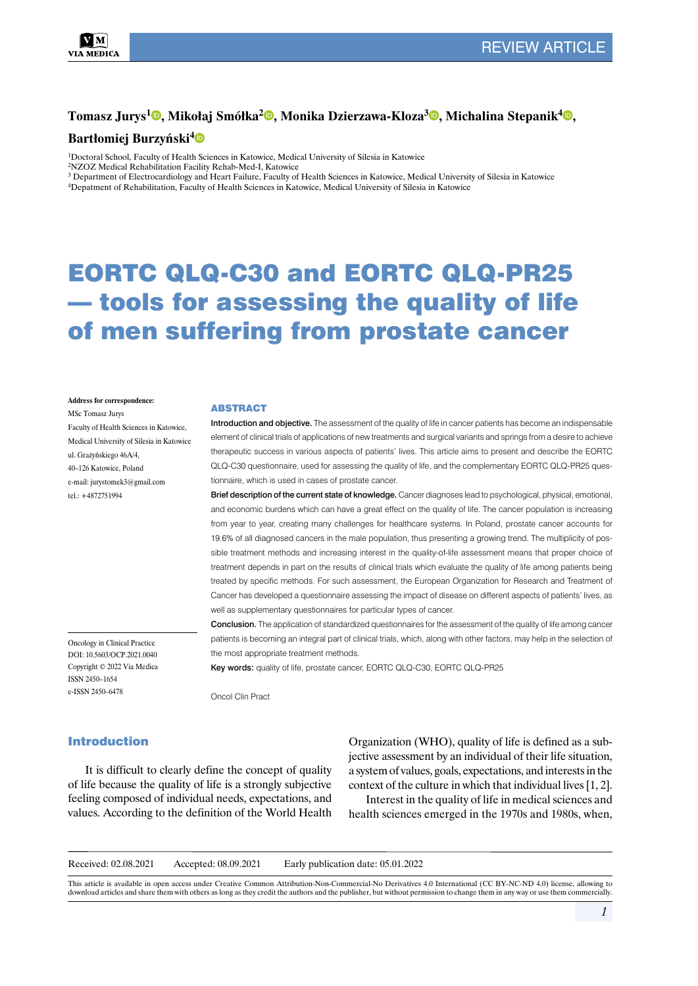

# **Tomasz Jurys1 , Mikołaj Smółka2 , Monika Dzierzawa-Kloza3 [,](https://orcid.org/0000-0002-7623-4247) Michalina Stepanik4 ,**

## **Bartłomiej Burzyński4**

<sup>1</sup>Doctoral School, Faculty of Health Sciences in Katowice, Medical University of Silesia in Katowice

2NZOZ Medical Rehabilitation Facility Rehab-Med-I, Katowice

<sup>3</sup> Department of Electrocardiology and Heart Failure, Faculty of Health Sciences in Katowice, Medical University of Silesia in Katowice 4Depatment of Rehabilitation, Faculty of Health Sciences in Katowice, Medical University of Silesia in Katowice

# EORTC QLQ-C30 and EORTC QLQ-PR25 — tools for assessing the quality of life of men suffering from prostate cancer

#### **Address for correspondence:**

MSc Tomasz Jurys Faculty of Health Sciences in Katowice, Medical University of Silesia in Katowice ul. Grażyńskiego 46A/4, 40–126 Katowice, Poland e-mail: jurystomek3@gmail.com tel.: +4872751994

#### **ABSTRACT**

Introduction and objective. The assessment of the quality of life in cancer patients has become an indispensable element of clinical trials of applications of new treatments and surgical variants and springs from a desire to achieve therapeutic success in various aspects of patients' lives. This article aims to present and describe the EORTC QLQ-C30 questionnaire, used for assessing the quality of life, and the complementary EORTC QLQ-PR25 questionnaire, which is used in cases of prostate cancer.

Brief description of the current state of knowledge. Cancer diagnoses lead to psychological, physical, emotional, and economic burdens which can have a great effect on the quality of life. The cancer population is increasing from year to year, creating many challenges for healthcare systems. In Poland, prostate cancer accounts for 19.6% of all diagnosed cancers in the male population, thus presenting a growing trend. The multiplicity of possible treatment methods and increasing interest in the quality-of-life assessment means that proper choice of treatment depends in part on the results of clinical trials which evaluate the quality of life among patients being treated by specific methods. For such assessment, the European Organization for Research and Treatment of Cancer has developed a questionnaire assessing the impact of disease on different aspects of patients' lives, as well as supplementary questionnaires for particular types of cancer.

Conclusion. The application of standardized questionnaires for the assessment of the quality of life among cancer patients is becoming an integral part of clinical trials, which, along with other factors, may help in the selection of the most appropriate treatment methods.

Key words: quality of life, prostate cancer, EORTC QLQ-C30, EORTC QLQ-PR25

Oncol Clin Pract

## Introduction

Oncology in Clinical Practice DOI: 10.5603/OCP.2021.0040 Copyright © 2022 Via Medica ISSN 2450–1654 e-ISSN 2450–6478

It is difficult to clearly define the concept of quality of life because the quality of life is a strongly subjective feeling composed of individual needs, expectations, and values. According to the definition of the World Health Organization (WHO), quality of life is defined as a subjective assessment by an individual of their life situation, a system of values, goals, expectations, and interests in the context of the culture in which that individual lives [1, 2].

Interest in the quality of life in medical sciences and health sciences emerged in the 1970s and 1980s, when,

Received: 02.08.2021 Accepted: 08.09.2021 Early publication date: 05.01.2022

This article is available in open access under Creative Common Attribution-Non-Commercial-No Derivatives 4.0 International (CC BY-NC-ND 4.0) license, allowing to download articles and share them with others as long as they credit the authors and the publisher, but without permission to change them in any way or use them commercially.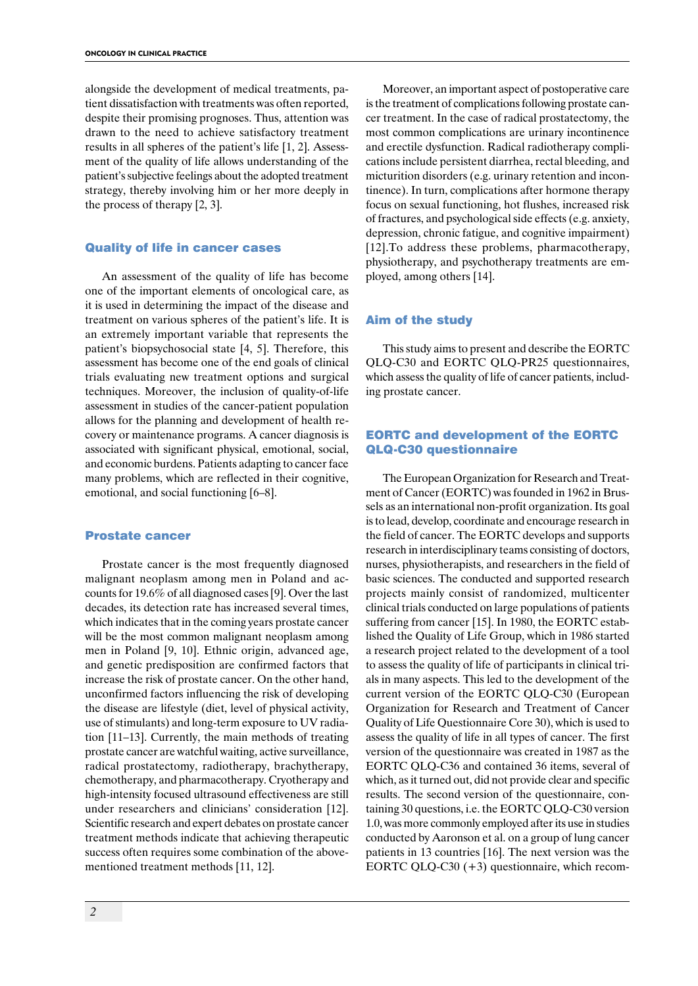alongside the development of medical treatments, patient dissatisfaction with treatments was often reported, despite their promising prognoses. Thus, attention was drawn to the need to achieve satisfactory treatment results in all spheres of the patient's life [1, 2]. Assessment of the quality of life allows understanding of the patient's subjective feelings about the adopted treatment strategy, thereby involving him or her more deeply in the process of therapy [2, 3].

## Quality of life in cancer cases

An assessment of the quality of life has become one of the important elements of oncological care, as it is used in determining the impact of the disease and treatment on various spheres of the patient's life. It is an extremely important variable that represents the patient's biopsychosocial state [4, 5]. Therefore, this assessment has become one of the end goals of clinical trials evaluating new treatment options and surgical techniques. Moreover, the inclusion of quality-of-life assessment in studies of the cancer-patient population allows for the planning and development of health recovery or maintenance programs. A cancer diagnosis is associated with significant physical, emotional, social, and economic burdens. Patients adapting to cancer face many problems, which are reflected in their cognitive, emotional, and social functioning [6–8].

## Prostate cancer

Prostate cancer is the most frequently diagnosed malignant neoplasm among men in Poland and accounts for 19.6% of all diagnosed cases [9]. Over the last decades, its detection rate has increased several times, which indicates that in the coming years prostate cancer will be the most common malignant neoplasm among men in Poland [9, 10]. Ethnic origin, advanced age, and genetic predisposition are confirmed factors that increase the risk of prostate cancer. On the other hand, unconfirmed factors influencing the risk of developing the disease are lifestyle (diet, level of physical activity, use of stimulants) and long-term exposure to UV radiation [11–13]. Currently, the main methods of treating prostate cancer are watchful waiting, active surveillance, radical prostatectomy, radiotherapy, brachytherapy, chemotherapy, and pharmacotherapy. Cryotherapy and high-intensity focused ultrasound effectiveness are still under researchers and clinicians' consideration [12]. Scientific research and expert debates on prostate cancer treatment methods indicate that achieving therapeutic success often requires some combination of the abovementioned treatment methods [11, 12].

Moreover, an important aspect of postoperative care is the treatment of complications following prostate cancer treatment. In the case of radical prostatectomy, the most common complications are urinary incontinence and erectile dysfunction. Radical radiotherapy complications include persistent diarrhea, rectal bleeding, and micturition disorders (e.g. urinary retention and incontinence). In turn, complications after hormone therapy focus on sexual functioning, hot flushes, increased risk of fractures, and psychological side effects (e.g. anxiety, depression, chronic fatigue, and cognitive impairment) [12].To address these problems, pharmacotherapy, physiotherapy, and psychotherapy treatments are employed, among others [14].

# Aim of the study

This study aims to present and describe the EORTC QLQ-C30 and EORTC QLQ-PR25 questionnaires, which assess the quality of life of cancer patients, including prostate cancer.

# EORTC and development of the EORTC QLQ-C30 questionnaire

The European Organization for Research and Treatment of Cancer (EORTC) was founded in 1962 in Brussels as an international non-profit organization. Its goal is to lead, develop, coordinate and encourage research in the field of cancer. The EORTC develops and supports research in interdisciplinary teams consisting of doctors, nurses, physiotherapists, and researchers in the field of basic sciences. The conducted and supported research projects mainly consist of randomized, multicenter clinical trials conducted on large populations of patients suffering from cancer [15]. In 1980, the EORTC established the Quality of Life Group, which in 1986 started a research project related to the development of a tool to assess the quality of life of participants in clinical trials in many aspects. This led to the development of the current version of the EORTC QLQ-C30 (European Organization for Research and Treatment of Cancer Quality of Life Questionnaire Core 30), which is used to assess the quality of life in all types of cancer. The first version of the questionnaire was created in 1987 as the EORTC QLQ-C36 and contained 36 items, several of which, as it turned out, did not provide clear and specific results. The second version of the questionnaire, containing 30 questions, i.e. the EORTC QLQ-C30 version 1.0, was more commonly employed after its use in studies conducted by Aaronson et al. on a group of lung cancer patients in 13 countries [16]. The next version was the EORTC QLQ-C30 (+3) questionnaire, which recom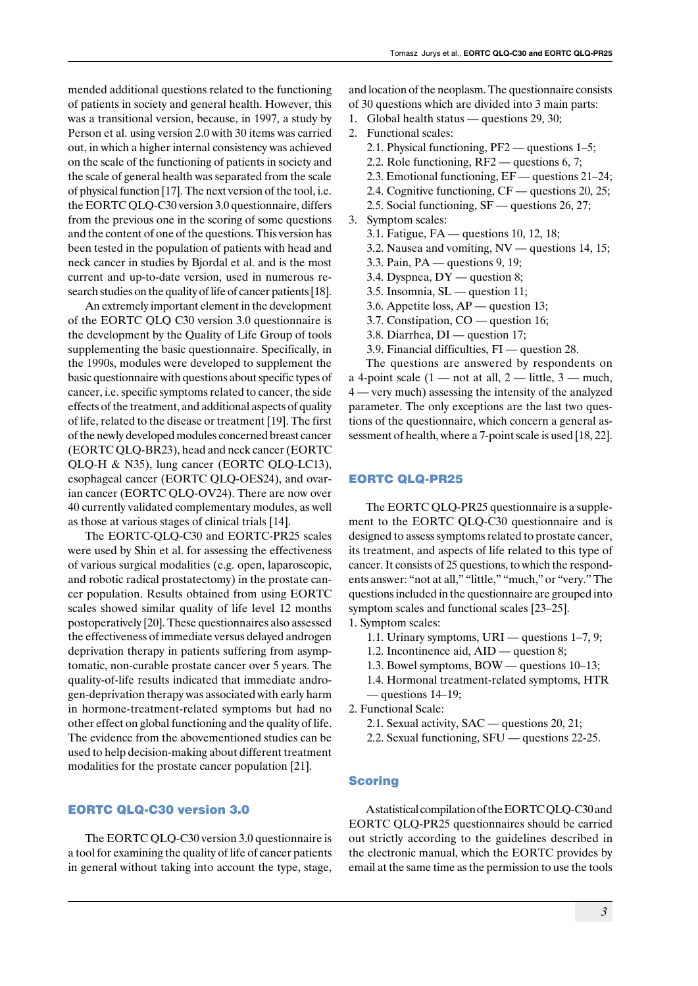mended additional questions related to the functioning of patients in society and general health. However, this was a transitional version, because, in 1997, a study by Person et al. using version 2.0 with 30 items was carried out, in which a higher internal consistency was achieved on the scale of the functioning of patients in society and the scale of general health was separated from the scale of physical function [17]. The next version of the tool, i.e. the EORTC QLQ-C30 version 3.0 questionnaire, differs from the previous one in the scoring of some questions and the content of one of the questions. This version has been tested in the population of patients with head and neck cancer in studies by Bjordal et al. and is the most current and up-to-date version, used in numerous research studies on the quality of life of cancer patients [18].

An extremely important element in the development of the EORTC QLQ C30 version 3.0 questionnaire is the development by the Quality of Life Group of tools supplementing the basic questionnaire. Specifically, in the 1990s, modules were developed to supplement the basic questionnaire with questions about specific types of cancer, i.e. specific symptoms related to cancer, the side effects of the treatment, and additional aspects of quality of life, related to the disease or treatment [19]. The first of the newly developed modules concerned breast cancer (EORTC QLQ-BR23), head and neck cancer (EORTC QLQ-H & N35), lung cancer (EORTC QLQ-LC13), esophageal cancer (EORTC QLQ-OES24), and ovarian cancer (EORTC QLQ-OV24). There are now over 40 currently validated complementary modules, as well as those at various stages of clinical trials [14].

The EORTC-QLQ-C30 and EORTC-PR25 scales were used by Shin et al. for assessing the effectiveness of various surgical modalities (e.g. open, laparoscopic, and robotic radical prostatectomy) in the prostate cancer population. Results obtained from using EORTC scales showed similar quality of life level 12 months postoperatively [20]. These questionnaires also assessed the effectiveness of immediate versus delayed androgen deprivation therapy in patients suffering from asymptomatic, non-curable prostate cancer over 5 years. The quality-of-life results indicated that immediate androgen-deprivation therapy was associated with early harm in hormone-treatment-related symptoms but had no other effect on global functioning and the quality of life. The evidence from the abovementioned studies can be used to help decision-making about different treatment modalities for the prostate cancer population [21].

## EORTC QLQ-C30 version 3.0

The EORTC QLQ-C30 version 3.0 questionnaire is a tool for examining the quality of life of cancer patients in general without taking into account the type, stage, and location of the neoplasm. The questionnaire consists of 30 questions which are divided into 3 main parts:

- 1. Global health status questions 29, 30;
- 2. Functional scales:
	- 2.1. Physical functioning, PF2 questions 1–5;
	- 2.2. Role functioning, RF2 questions 6, 7;
	- 2.3. Emotional functioning, EF questions 21–24;
	- 2.4. Cognitive functioning, CF questions 20, 25;
	- 2.5. Social functioning, SF questions 26, 27;
- 3. Symptom scales:
	- 3.1. Fatigue, FA questions 10, 12, 18;
	- 3.2. Nausea and vomiting, NV questions 14, 15;
	- 3.3. Pain, PA questions 9, 19;
	- 3.4. Dyspnea, DY question 8;
	- 3.5. Insomnia, SL question 11;
	- 3.6. Appetite loss, AP question 13;
	- 3.7. Constipation, CO question 16;
	- 3.8. Diarrhea, DI question 17;
	- 3.9. Financial difficulties, FI question 28.

The questions are answered by respondents on a 4-point scale  $(1 - not at all, 2 - little, 3 - much,$ 4 — very much) assessing the intensity of the analyzed parameter. The only exceptions are the last two questions of the questionnaire, which concern a general assessment of health, where a 7-point scale is used [18, 22].

### EORTC QLQ-PR25

The EORTC QLQ-PR25 questionnaire is a supplement to the EORTC QLQ-C30 questionnaire and is designed to assess symptoms related to prostate cancer, its treatment, and aspects of life related to this type of cancer. It consists of 25 questions, to which the respondents answer: "not at all," "little," "much," or "very." The questions included in the questionnaire are grouped into symptom scales and functional scales [23–25].

- 1. Symptom scales:
	- 1.1. Urinary symptoms, URI questions 1–7, 9;
	- 1.2. Incontinence aid, AID question 8;
	- 1.3. Bowel symptoms, BOW questions 10–13;
	- 1.4. Hormonal treatment-related symptoms, HTR — questions 14–19;
- 2. Functional Scale:
	- 2.1. Sexual activity, SAC questions 20, 21;
	- 2.2. Sexual functioning, SFU questions 22-25.

## **Scoring**

A statistical compilation of the EORTC QLQ-C30 and EORTC QLQ-PR25 questionnaires should be carried out strictly according to the guidelines described in the electronic manual, which the EORTC provides by email at the same time as the permission to use the tools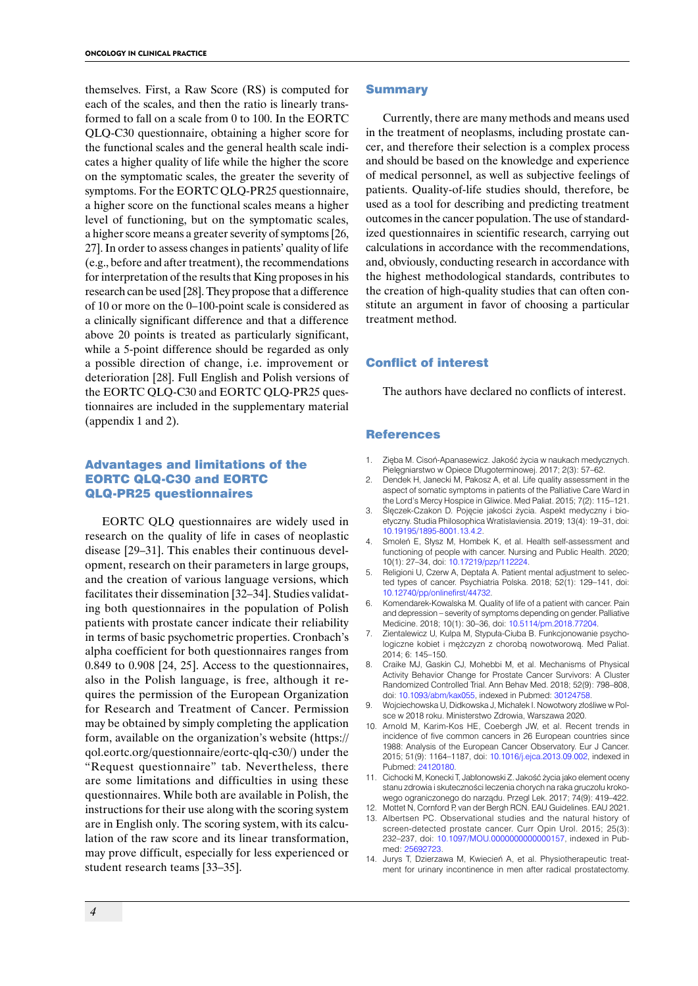themselves. First, a Raw Score (RS) is computed for each of the scales, and then the ratio is linearly transformed to fall on a scale from 0 to 100. In the EORTC QLQ-C30 questionnaire, obtaining a higher score for the functional scales and the general health scale indicates a higher quality of life while the higher the score on the symptomatic scales, the greater the severity of symptoms. For the EORTC QLQ-PR25 questionnaire, a higher score on the functional scales means a higher level of functioning, but on the symptomatic scales, a higher score means a greater severity of symptoms [26, 27]. In order to assess changes in patients' quality of life (e.g., before and after treatment), the recommendations for interpretation of the results that King proposes in his research can be used [28]. They propose that a difference of 10 or more on the 0–100-point scale is considered as a clinically significant difference and that a difference above 20 points is treated as particularly significant, while a 5-point difference should be regarded as only a possible direction of change, i.e. improvement or deterioration [28]. Full English and Polish versions of the EORTC QLQ-C30 and EORTC QLQ-PR25 questionnaires are included in the supplementary material (appendix 1 and 2).

# Advantages and limitations of the EORTC QLQ-C30 and EORTC QLQ-PR25 questionnaires

EORTC QLQ questionnaires are widely used in research on the quality of life in cases of neoplastic disease [29–31]. This enables their continuous development, research on their parameters in large groups, and the creation of various language versions, which facilitates their dissemination [32–34]. Studies validating both questionnaires in the population of Polish patients with prostate cancer indicate their reliability in terms of basic psychometric properties. Cronbach's alpha coefficient for both questionnaires ranges from 0.849 to 0.908 [24, 25]. Access to the questionnaires, also in the Polish language, is free, although it requires the permission of the European Organization for Research and Treatment of Cancer. Permission may be obtained by simply completing the application form, available on the organization's website (https:// qol.eortc.org/questionnaire/eortc-qlq-c30/) under the "Request questionnaire" tab. Nevertheless, there are some limitations and difficulties in using these questionnaires. While both are available in Polish, the instructions for their use along with the scoring system are in English only. The scoring system, with its calculation of the raw score and its linear transformation, may prove difficult, especially for less experienced or student research teams [33–35].

## Summary

Currently, there are many methods and means used in the treatment of neoplasms, including prostate cancer, and therefore their selection is a complex process and should be based on the knowledge and experience of medical personnel, as well as subjective feelings of patients. Quality-of-life studies should, therefore, be used as a tool for describing and predicting treatment outcomes in the cancer population. The use of standardized questionnaires in scientific research, carrying out calculations in accordance with the recommendations, and, obviously, conducting research in accordance with the highest methodological standards, contributes to the creation of high-quality studies that can often constitute an argument in favor of choosing a particular treatment method.

## Conflict of interest

The authors have declared no conflicts of interest.

## **References**

- 1. Zięba M. Cisoń-Apanasewicz. Jakość życia w naukach medycznych. Pielęgniarstwo w Opiece Długoterminowej. 2017; 2(3): 57–62.
- 2. Dendek H, Janecki M, Pakosz A, et al. Life quality assessment in the aspect of somatic symptoms in patients of the Palliative Care Ward in the Lord's Mercy Hospice in Gliwice. Med Paliat. 2015; 7(2): 115–121.
- 3. Ślęczek-Czakon D. Pojęcie jakości życia. Aspekt medyczny i bioetyczny. Studia Philosophica Wratislaviensia. 2019; 13(4): 19–31, doi: [10.19195/1895-](http://dx.doi.org/10.19195/1895-8001.13.4.2)8001.13.4.2.
- Smoleń E, Słysz M, Hombek K, et al. Health self-assessment and functioning of people with cancer. Nursing and Public Health. 2020; 10(1): 27–34, doi: [10.17219/](http://dx.doi.org/10.17219/pzp/112224)pzp/112224.
- 5. Religioni U, Czerw A, Deptała A. Patient mental adjustment to selected types of cancer. Psychiatria Polska. 2018; 52(1): 129–141, doi: 10.12740/pp/[onlinefirst](http://dx.doi.org/10.12740/pp/onlinefirst/44732)/44732.
- 6. Komendarek-Kowalska M. Quality of life of a patient with cancer. Pain and depression – severity of symptoms depending on gender. Palliative Medicine. 2018; 10(1): 30–36, doi: 10.5114/[pm.2018.77204](http://dx.doi.org/10.5114/pm.2018.77204).
- 7. Zientalewicz U, Kulpa M, Stypuła-Ciuba B. Funkcjonowanie psychologiczne kobiet i mężczyzn z chorobą nowotworową. Med Paliat. 2014; 6: 145–150.
- 8. Craike MJ, Gaskin CJ, Mohebbi M, et al. Mechanisms of Physical Activity Behavior Change for Prostate Cancer Survivors: A Cluster Randomized Controlled Trial. Ann Behav Med. 2018; 52(9): 798–808, doi: [10.1093/abm/](http://dx.doi.org/10.1093/abm/kax055)kax055, indexed in Pubmed: [30124758](https://www.ncbi.nlm.nih.gov/pubmed/30124758).
- 9. Wojciechowska U, Didkowska J, Michałek I. Nowotwory złośliwe w Polsce w 2018 roku. Ministerstwo Zdrowia, Warszawa 2020.
- 10. Arnold M, Karim-Kos HE, Coebergh JW, et al. Recent trends in incidence of five common cancers in 26 European countries since 1988: Analysis of the European Cancer Observatory. Eur J Cancer. 2015; 51(9): 1164–1187, doi: 10.1016/[j.ejca.2013.09.002](http://dx.doi.org/10.1016/j.ejca.2013.09.002), indexed in Pubmed: [24120180](https://www.ncbi.nlm.nih.gov/pubmed/24120180).
- 11. Cichocki M, Konecki T, Jabłonowski Z. Jakość życia jako element oceny stanu zdrowia i skuteczności leczenia chorych na raka gruczołu krokowego ograniczonego do narządu. Przegl Lek. 2017; 74(9): 419–422.
- 12. Mottet N, Cornford P, van der Bergh RCN. EAU Guidelines. EAU 2021.
- 13. Albertsen PC. Observational studies and the natural history of screen-detected prostate cancer. Curr Opin Urol. 2015; 25(3): 232–237, doi: 10.1097/[MOU.0000000000000157](http://dx.doi.org/10.1097/MOU.0000000000000157), indexed in Pubmed: [25692723.](https://www.ncbi.nlm.nih.gov/pubmed/25692723)
- 14. Jurys T, Dzierzawa M, Kwiecień A, et al. Physiotherapeutic treatment for urinary incontinence in men after radical prostatectomy.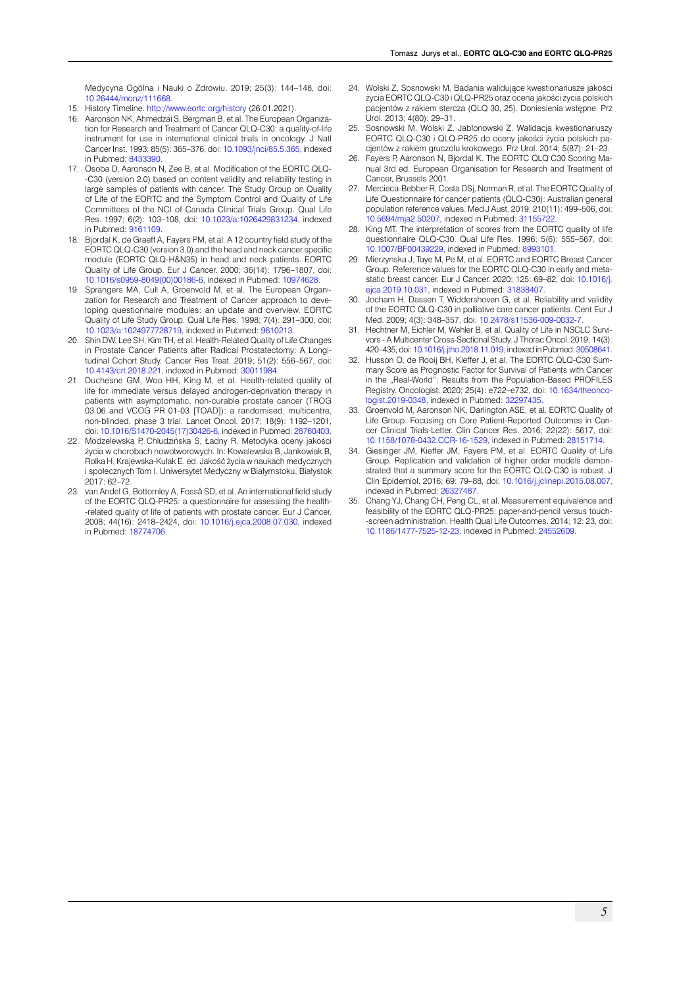Medycyna Ogólna i Nauki o Zdrowiu. 2019; 25(3): 144–148, doi: [10.26444](http://dx.doi.org/10.26444/monz/111668)/monz/111668.

- 15. History Timeline. <http://www.eortc.org/history> (26.01.2021).
- 16. Aaronson NK, Ahmedzai S, Bergman B, et al. The European Organization for Research and Treatment of Cancer QLQ-C30: a quality-of-life instrument for use in international clinical trials in oncology. J Natl Cancer Inst. 1993; 85(5): 365–376, doi: 10.1093/jnci[/85.5.365](http://dx.doi.org/10.1093/jnci/85.5.365), indexed in Pubmed: [8433390](https://www.ncbi.nlm.nih.gov/pubmed/8433390).
- 17. Osoba D, Aaronson N, Zee B, et al. Modification of the EORTC QLQ- -C30 (version 2.0) based on content validity and reliability testing in large samples of patients with cancer. The Study Group on Quality of Life of the EORTC and the Symptom Control and Quality of Life Committees of the NCI of Canada Clinical Trials Group. Qual Life Res. 1997; 6(2): 103–108, doi: 10.1023/[a:1026429831234,](http://dx.doi.org/10.1023/a:1026429831234) indexed in Pubmed: [9161109.](https://www.ncbi.nlm.nih.gov/pubmed/9161109)
- 18. Bjordal K, de Graeff A, Fayers PM, et al. A 12 country field study of the EORTC QLQ-C30 (version 3.0) and the head and neck cancer specific module (EORTC QLQ-H&N35) in head and neck patients. EORTC Quality of Life Group. Eur J Cancer. 2000; 36(14): 1796–1807, doi: [10.1016/s0959-](http://dx.doi.org/10.1016/s0959-8049(00)00186-6)8049(00)00186-6, indexed in Pubmed: [10974628](https://www.ncbi.nlm.nih.gov/pubmed/10974628).
- 19. Sprangers MA, Cull A, Groenvold M, et al. The European Organization for Research and Treatment of Cancer approach to developing questionnaire modules: an update and overview. EORTC Quality of Life Study Group. Qual Life Res. 1998; 7(4): 291–300, doi: 10.1023/[a:1024977728719](http://dx.doi.org/10.1023/a:1024977728719), indexed in Pubmed: [9610213.](https://www.ncbi.nlm.nih.gov/pubmed/9610213)
- 20. Shin DW, Lee SH, Kim TH, et al. Health-Related Quality of Life Changes in Prostate Cancer Patients after Radical Prostatectomy: A Longitudinal Cohort Study. Cancer Res Treat. 2019; 51(2): 556–567, doi: 10.4143[/crt.2018.221](http://dx.doi.org/10.4143/crt.2018.221), indexed in Pubmed: [30011984](https://www.ncbi.nlm.nih.gov/pubmed/30011984).
- 21. Duchesne GM, Woo HH, King M, et al. Health-related quality of life for immediate versus delayed androgen-deprivation therapy in patients with asymptomatic, non-curable prostate cancer (TROG 03.06 and VCOG PR 01-03 [TOAD]): a randomised, multicentre, non-blinded, phase 3 trial. Lancet Oncol. 2017; 18(9): 1192–1201, doi: 10.1016/S1470-[2045\(17\)30426](http://dx.doi.org/10.1016/S1470-2045(17)30426-6)-6, indexed in Pubmed: [28760403](https://www.ncbi.nlm.nih.gov/pubmed/28760403).
- 22. Modzelewska P, Chludzińska S, Ładny R. Metodyka oceny jakości życia w chorobach nowotworowych. In: Kowalewska B, Jankowiak B, Rolka H, Krajewska-Kułak E. ed. Jakość życia w naukach medycznych i społecznych Tom I. Uniwersytet Medyczny w Białymstoku, Białystok 2017: 62–72.
- 23. van Andel G, Bottomley A, Fosså SD, et al. An international field study of the EORTC QLQ-PR25: a questionnaire for assessing the health- -related quality of life of patients with prostate cancer. Eur J Cancer. 2008; 44(16): 2418–2424, doi: 10.1016/[j.ejca.2008.07.030,](http://dx.doi.org/10.1016/j.ejca.2008.07.030) indexed in Pubmed: [18774706](https://www.ncbi.nlm.nih.gov/pubmed/18774706).
- 24. Wolski Z, Sosnowski M. Badania walidujące kwestionariusze jakości życia EORTC QLQ-C30 i QLQ-PR25 oraz ocena jakości życia polskich pacjentów z rakiem stercza (QLQ 30, 25). Doniesienia wstępne. Prz Urol. 2013; 4(80): 29–31.
- 25. Sosnowski M, Wolski Z, Jabłonowski Z. Walidacja kwestionariuszy EORTC QLQ-C30 i QLQ-PR25 do oceny jakości życia polskich pacjentów z rakiem gruczołu krokowego. Prz Urol. 2014; 5(87): 21–23.
- 26. Fayers P, Aaronson N, Bjordal K. The EORTC QLQ C30 Scoring Manual 3rd ed. European Organisation for Research and Treatment of Cancer, Brussels 2001.
- 27. Mercieca-Bebber R, Costa DSj, Norman R, et al. The EORTC Quality of Life Questionnaire for cancer patients (QLQ-C30): Australian general population reference values. Med J Aust. 2019; 210(11): 499–506, doi: 10.5694/[mja2.50207](http://dx.doi.org/10.5694/mja2.50207), indexed in Pubmed: [31155722](https://www.ncbi.nlm.nih.gov/pubmed/31155722).
- 28. King MT. The interpretation of scores from the EORTC quality of life questionnaire QLQ-C30. Qual Life Res. 1996; 5(6): 555–567, doi: 10.1007/[BF00439229](http://dx.doi.org/10.1007/BF00439229), indexed in Pubmed: [8993101](https://www.ncbi.nlm.nih.gov/pubmed/8993101).
- Mierzynska J, Taye M, Pe M, et al. EORTC and EORTC Breast Cancer Group. Reference values for the EORTC QLQ-C30 in early and metastatic breast cancer. Eur J Cancer. 2020; 125: 69–82, doi: [10.1016/](http://dx.doi.org/10.1016/j.ejca.2019.10.031)j. [ejca.2019.10.031](http://dx.doi.org/10.1016/j.ejca.2019.10.031), indexed in Pubmed: [31838407](https://www.ncbi.nlm.nih.gov/pubmed/31838407).
- 30. Jocham H, Dassen T, Widdershoven G, et al. Reliability and validity of the EORTC QLQ-C30 in palliative care cancer patients. Cent Eur J Med. 2009; 4(3): 348–357, doi: 10.2478[/s11536-009-0032-7](http://dx.doi.org/10.2478/s11536-009-0032-7).
- 31. Hechtner M, Eichler M, Wehler B, et al. Quality of Life in NSCLC Survivors - A Multicenter Cross-Sectional Study. J Thorac Oncol. 2019; 14(3): 420–435, doi: 10.1016/[j.jtho.2018.11.019](http://dx.doi.org/10.1016/j.jtho.2018.11.019), indexed in Pubmed: [30508641](https://www.ncbi.nlm.nih.gov/pubmed/30508641).
- 32. Husson O, de Rooij BH, Kieffer J, et al. The EORTC QLQ-C30 Summary Score as Prognostic Factor for Survival of Patients with Cancer in the "Real-World": Results from the Population-Based PROFILES Registry. Oncologist. 2020; 25(4): e722–e732, doi: 10.1634[/theonco-](http://dx.doi.org/10.1634/theoncologist.2019-0348)ogist.2019-0348, indexed in Pubmed: [32297435](https://www.ncbi.nlm.nih.gov/pubmed/32297435)
- 33. Groenvold M, Aaronson NK, Darlington ASE, et al. EORTC Quality of Life Group. Focusing on Core Patient-Reported Outcomes in Cancer Clinical Trials-Letter. Clin Cancer Res. 2016; 22(22): 5617, doi: [10.1158/1078-](http://dx.doi.org/10.1158/1078-0432.CCR-16-1529)0432.CCR-16-1529, indexed in Pubmed: [28151714](https://www.ncbi.nlm.nih.gov/pubmed/28151714).
- 34. Giesinger JM, Kieffer JM, Fayers PM, et al. EORTC Quality of Life Group. Replication and validation of higher order models demonstrated that a summary score for the EORTC QLQ-C30 is robust. J Clin Epidemiol. 2016; 69: 79–88, doi: 10.1016/[j.jclinepi.2015.08.007](http://dx.doi.org/10.1016/j.jclinepi.2015.08.007), indexed in Pubmed: [26327487](https://www.ncbi.nlm.nih.gov/pubmed/26327487).
- 35. Chang YJ, Chang CH, Peng CL, et al. Measurement equivalence and feasibility of the EORTC QLQ-PR25: paper-and-pencil versus touch- -screen administration. Health Qual Life Outcomes. 2014; 12: 23, doi: 10.1186/1477[-7525-12-23](http://dx.doi.org/10.1186/1477-7525-12-23), indexed in Pubmed: [24552609](https://www.ncbi.nlm.nih.gov/pubmed/24552609).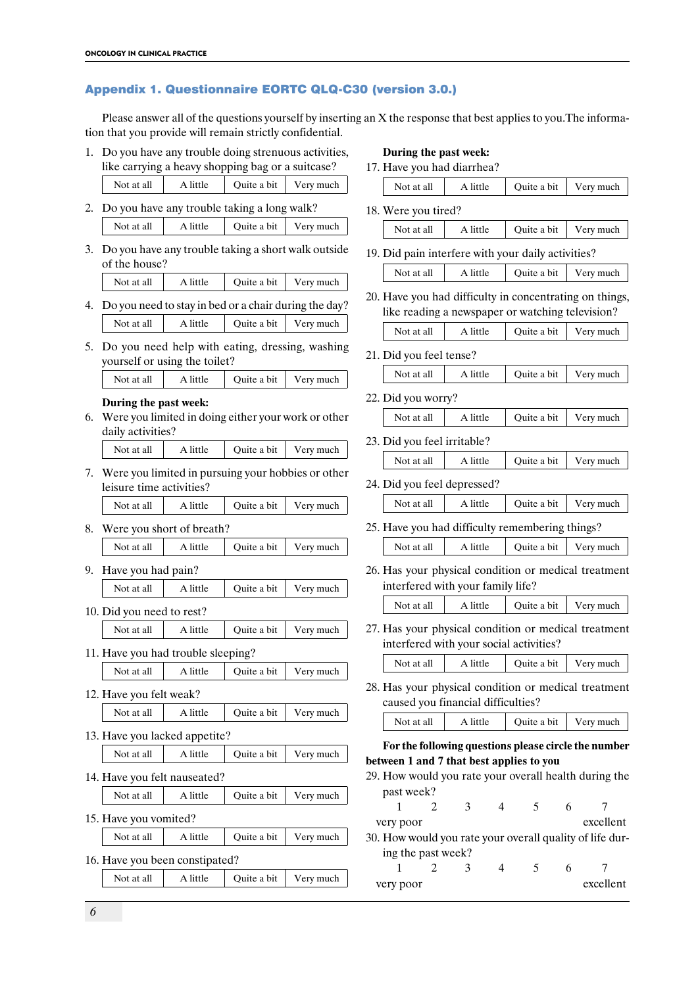# Appendix 1. Questionnaire EORTC QLQ-C30 (version 3.0.)

Please answer all of the questions yourself by inserting an X the response that best applies to you.The information that you provide will remain strictly confidential.

- 1. Do you have any trouble doing strenuous activities, like carrying a heavy shopping bag or a suitcase?
- Not at all A little Quite a bit Very much 2. Do you have any trouble taking a long walk? Not at all A little Quite a bit Very much
- 3. Do you have any trouble taking a short walk outside of the house?

| Not at all | A little | Ouite a bit | Very much |
|------------|----------|-------------|-----------|
|------------|----------|-------------|-----------|

- 4. Do you need to stay in bed or a chair during the day? Not at all  $\begin{array}{|c|c|c|c|c|} \hline \end{array}$  A little  $\begin{array}{|c|c|c|c|c|c|c|c|} \hline \end{array}$  Quite a bit  $\begin{array}{|c|c|c|c|c|c|c|c|} \hline \end{array}$  Very much
- 5. Do you need help with eating, dressing, washing yourself or using the toilet? Not at all  $\begin{array}{|c|c|c|c|c|} \hline \end{array}$  A little  $\begin{array}{|c|c|c|c|c|c|c|c|} \hline \end{array}$  Quite a bit  $\begin{array}{|c|c|c|c|c|c|c|c|} \hline \end{array}$  Very much

# **During the past week:**

6. Were you limited in doing either your work or other daily activities?

| Not at all | A little | Ouite a bit | Very much |  |
|------------|----------|-------------|-----------|--|
|------------|----------|-------------|-----------|--|

7. Were you limited in pursuing your hobbies or other leisure time activities?

| Very much<br>Ouite a bit<br>Not at all<br>A little |
|----------------------------------------------------|
|----------------------------------------------------|

8. Were you short of breath? Not at all | A little | Quite a bit | Very much

- 9. Have you had pain? Not at all A little Quite a bit Very much
- 10. Did you need to rest? Not at all A little Quite a bit Very much
- 11. Have you had trouble sleeping? Not at all A little Quite a bit Very much
- 12. Have you felt weak? Not at all A little Quite a bit Very much
- 13. Have you lacked appetite? Not at all  $\begin{array}{|c|c|c|c|c|} \hline \end{array}$  A little  $\begin{array}{|c|c|c|c|c|c|} \hline \end{array}$  Quite a bit  $\begin{array}{|c|c|c|c|c|c|c|c|} \hline \end{array}$  Very much
- 14. Have you felt nauseated? Not at all A little Quite a bit Very much
- 15. Have you vomited?

| Not at all                     | A little | Quite a bit Very much   |  |
|--------------------------------|----------|-------------------------|--|
| 16. Have you been constipated? |          |                         |  |
| Not at all                     | A little | Quite a bit   Very much |  |

## **During the past week:**

 $17. H$ 

| 17. Have you had diarrhea?                               |          |                                                  |                                                         |
|----------------------------------------------------------|----------|--------------------------------------------------|---------------------------------------------------------|
| Not at all                                               | A little | Quite a bit                                      | Very much                                               |
| 18. Were you tired?                                      |          |                                                  |                                                         |
| Not at all                                               | A little | Quite a bit                                      | Very much                                               |
| 19. Did pain interfere with your daily activities?       |          |                                                  |                                                         |
| Not at all                                               | A little | Quite a bit                                      | Very much                                               |
|                                                          |          | like reading a newspaper or watching television? | 20. Have you had difficulty in concentrating on things, |
| Not at all                                               | A little | Quite a bit                                      | Very much                                               |
| 21. Did you feel tense?                                  |          |                                                  |                                                         |
| Not at all                                               | A little | Quite a bit                                      | Very much                                               |
| 22. Did you worry?                                       |          |                                                  |                                                         |
| Not at all                                               | A little | Quite a bit                                      | Very much                                               |
| 23. Did you feel irritable?                              |          |                                                  |                                                         |
| Not at all                                               | A little | Quite a bit                                      | Very much                                               |
| 24. Did you feel depressed?                              |          |                                                  |                                                         |
| Not at all                                               | A little | Quite a bit                                      | Very much                                               |
| 25. Have you had difficulty remembering things?          |          |                                                  |                                                         |
| Not at all                                               | A little | Quite a bit                                      | Very much                                               |
| interfered with your family life?                        |          |                                                  | 26. Has your physical condition or medical treatment    |
| Not at all                                               | A little | Ouite a bit                                      | Very much                                               |
| interfered with your social activities?                  |          |                                                  | 27. Has your physical condition or medical treatment    |
| Not at all                                               | A little | Ouite a bit                                      | Very much                                               |
| caused you financial difficulties?                       |          |                                                  | 28. Has your physical condition or medical treatment    |
| Not at all                                               | A little | Quite a bit                                      | Very much                                               |
|                                                          |          |                                                  | For the following questions please circle the number    |
| between 1 and 7 that best applies to you                 |          |                                                  |                                                         |
|                                                          |          |                                                  | 29. How would you rate your overall health during the   |
| past week?<br>1<br>2                                     | 3<br>4   | 5                                                | 6<br>7                                                  |
| very poor                                                |          |                                                  | excellent                                               |
| 30. How would you rate your overall quality of life dur- |          |                                                  |                                                         |
| ing the past week?                                       |          |                                                  |                                                         |
| 1<br>2                                                   | 4<br>3   | 5                                                | 6<br>7                                                  |
| very poor                                                |          |                                                  | excellent                                               |